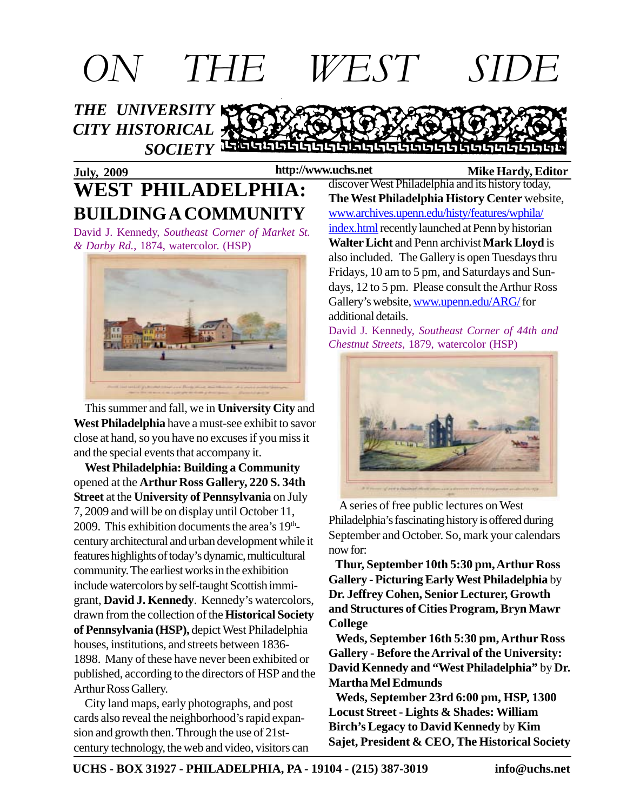

#### **July, 2009 Mike Hardy, Editor WEST PHILADELPHIA: BUILDING A COMMUNITY**

David J. Kennedy, *Southeast Corner of Market St. & Darby Rd.*, 1874, watercolor. (HSP)



 This summer and fall, we in **University City** and **West Philadelphia** have a must-see exhibit to savor close at hand, so you have no excuses if you miss it and the special events that accompany it.

 **West Philadelphia: Building a Community** opened at the **Arthur Ross Gallery, 220 S. 34th Street** at the **University of Pennsylvania** on July 7, 2009 and will be on display until October 11, 2009. This exhibition documents the area's 19<sup>th</sup>century architectural and urban development while it features highlights of today's dynamic, multicultural community. The earliest works in the exhibition include watercolors by self-taught Scottish immigrant, **David J. Kennedy**. Kennedy's watercolors, drawn from the collection of the **Historical Society of Pennsylvania (HSP),** depict West Philadelphia houses, institutions, and streets between 1836- 1898. Many of these have never been exhibited or published, according to the directors of HSP and the Arthur Ross Gallery.

 City land maps, early photographs, and post cards also reveal the neighborhood's rapid expansion and growth then. Through the use of 21stcentury technology, the web and video, visitors can

discover West Philadelphia and its history today, **The West Philadelphia History Center** website, www.archives.upenn.edu/histy/features/wphila/ index.html recently launched at Penn by historian **Walter Licht** and Penn archivist **Mark Lloyd** is also included. The Gallery is open Tuesdays thru Fridays, 10 am to 5 pm, and Saturdays and Sundays, 12 to 5 pm. Please consult the Arthur Ross Gallery's website, www.upenn.edu/ARG/ for additional details.

David J. Kennedy, *Southeast Corner of 44th and Chestnut Streets*, 1879, watercolor (HSP)



 A series of free public lectures on West Philadelphia's fascinating history is offered during September and October. So, mark your calendars now for:

 **Thur, September 10th 5:30 pm, Arthur Ross Gallery - Picturing Early West Philadelphia** by **Dr. Jeffrey Cohen, Senior Lecturer, Growth and Structures of Cities Program, Bryn Mawr College**

 **Weds, September 16th 5:30 pm, Arthur Ross Gallery - Before the Arrival of the University: David Kennedy and "West Philadelphia"** by **Dr. Martha Mel Edmunds**

 **Weds, September 23rd 6:00 pm, HSP, 1300 Locust Street - Lights & Shades: William Birch's Legacy to David Kennedy** by **Kim Sajet, President & CEO, The Historical Society**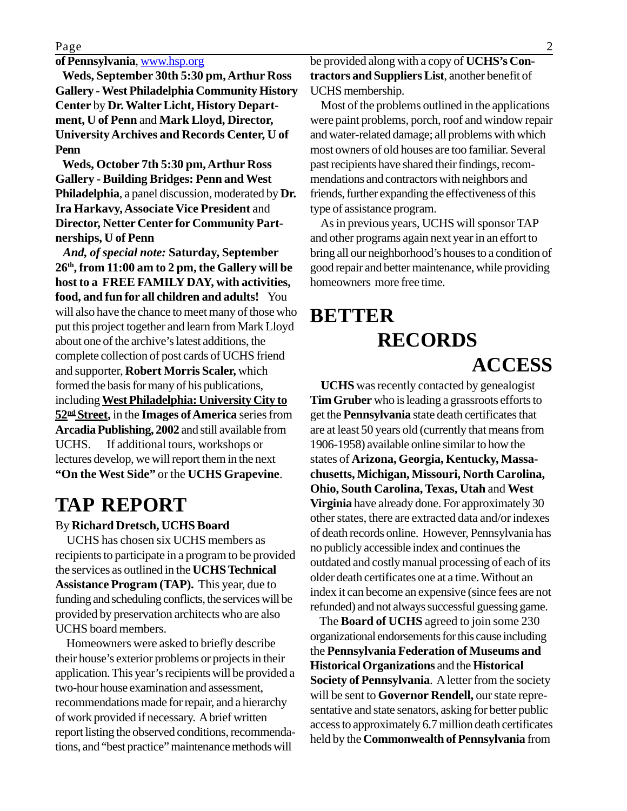#### **of Pennsylvania**, www.hsp.org

 **Weds, September 30th 5:30 pm, Arthur Ross Gallery - West Philadelphia Community History Center** by **Dr. Walter Licht, History Department, U of Penn** and **Mark Lloyd, Director, University Archives and Records Center, U of Penn**

 **Weds, October 7th 5:30 pm, Arthur Ross Gallery - Building Bridges: Penn and West Philadelphia**, a panel discussion, moderated by **Dr. Ira Harkavy, Associate Vice President** and **Director, Netter Center for Community Partnerships, U of Penn**

 *And, of special note:* **Saturday, September 26th, from 11:00 am to 2 pm, the Gallery will be host to a FREE FAMILY DAY, with activities, food, and fun for all children and adults!** You will also have the chance to meet many of those who put this project together and learn from Mark Lloyd about one of the archive's latest additions, the complete collection of post cards of UCHS friend and supporter, **Robert Morris Scaler,** which formed the basis for many of his publications, including **West Philadelphia: University City to 52nd Street,** in the **Images of America** series from **Arcadia Publishing, 2002** and still available from UCHS. If additional tours, workshops or lectures develop, we will report them in the next **"On the West Side"** or the **UCHS Grapevine**.

### **TAP REPORT**

#### By **Richard Dretsch, UCHS Board**

 UCHS has chosen six UCHS members as recipients to participate in a program to be provided the services as outlined in the **UCHS Technical Assistance Program (TAP).** This year, due to funding and scheduling conflicts, the services will be provided by preservation architects who are also UCHS board members.

 Homeowners were asked to briefly describe their house's exterior problems or projects in their application. This year's recipients will be provided a two-hour house examination and assessment, recommendations made for repair, and a hierarchy of work provided if necessary. A brief written report listing the observed conditions, recommendations, and "best practice" maintenance methods will

be provided along with a copy of **UCHS's Contractors and Suppliers List**, another benefit of UCHS membership.

 Most of the problems outlined in the applications were paint problems, porch, roof and window repair and water-related damage; all problems with which most owners of old houses are too familiar. Several past recipients have shared their findings, recommendations and contractors with neighbors and friends, further expanding the effectiveness of this type of assistance program.

 As in previous years, UCHS will sponsor TAP and other programs again next year in an effort to bring all our neighborhood's houses to a condition of good repair and better maintenance, while providing homeowners more free time.

### **BETTER RECORDS ACCESS**

 **UCHS** was recently contacted by genealogist **Tim Gruber** who is leading a grassroots efforts to get the **Pennsylvania** state death certificates that are at least 50 years old (currently that means from 1906-1958) available online similar to how the states of **Arizona, Georgia, Kentucky, Massachusetts, Michigan, Missouri, North Carolina, Ohio, South Carolina, Texas, Utah** and **West Virginia** have already done. For approximately 30 other states, there are extracted data and/or indexes of death records online. However, Pennsylvania has no publicly accessible index and continues the outdated and costly manual processing of each of its older death certificates one at a time. Without an index it can become an expensive (since fees are not refunded) and not always successful guessing game.

 The **Board of UCHS** agreed to join some 230 organizational endorsements for this cause including the **Pennsylvania Federation of Museums and Historical Organizations** and the **Historical Society of Pennsylvania**. A letter from the society will be sent to **Governor Rendell,** our state representative and state senators, asking for better public access to approximately 6.7 million death certificates held by the **Commonwealth of Pennsylvania** from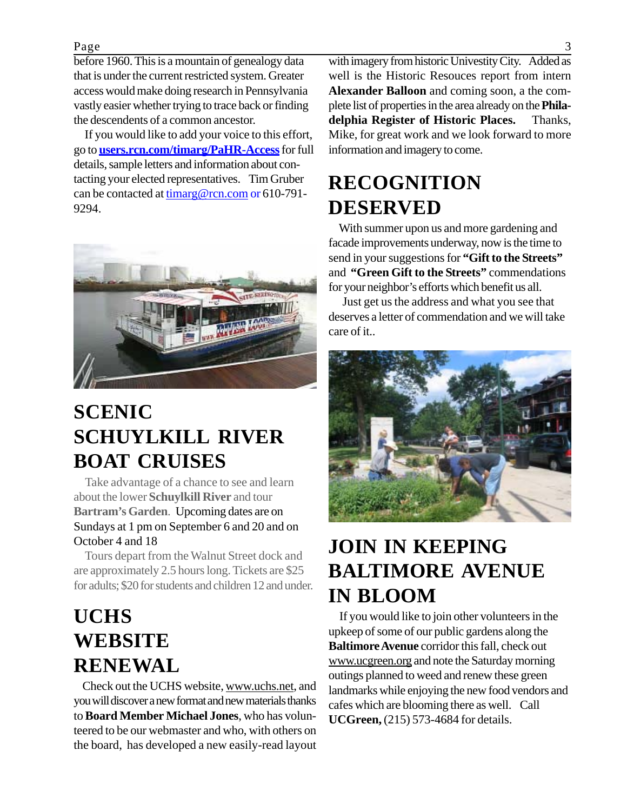#### Page 3

before 1960. This is a mountain of genealogy data that is under the current restricted system. Greater access would make doing research in Pennsylvania vastly easier whether trying to trace back or finding the descendents of a common ancestor.

 If you would like to add your voice to this effort, go to **users.rcn.com/timarg/PaHR-Access**for full details, sample letters and information about contacting your elected representatives. Tim Gruber can be contacted at timarg@rcn.com or 610-791- 9294.



# **SCENIC SCHUYLKILL RIVER BOAT CRUISES**

 Take advantage of a chance to see and learn about the lower **Schuylkill River** and tour **Bartram's Garden**. Upcoming dates are on Sundays at 1 pm on September 6 and 20 and on October 4 and 18

 Tours depart from the Walnut Street dock and are approximately 2.5 hours long. Tickets are \$25 for adults; \$20 for students and children 12 and under.

# **UCHS WEBSITE RENEWAL**

Check out the UCHS website, www.uchs.net, and you will discover a new format and new materials thanks to **Board Member Michael Jones**, who has volunteered to be our webmaster and who, with others on the board, has developed a new easily-read layout

with imagery from historic Univestity City. Added as well is the Historic Resouces report from intern **Alexander Balloon** and coming soon, a the complete list of properties in the area already on the **Philadelphia Register of Historic Places.** Thanks, Mike, for great work and we look forward to more information and imagery to come.

## **RECOGNITION DESERVED**

 With summer upon us and more gardening and facade improvements underway, now is the time to send in your suggestions for **"Gift to the Streets"** and **"Green Gift to the Streets"** commendations for your neighbor's efforts which benefit us all.

 Just get us the address and what you see that deserves a letter of commendation and we will take care of it..



## **JOIN IN KEEPING BALTIMORE AVENUE IN BLOOM**

 If you would like to join other volunteers in the upkeep of some of our public gardens along the **Baltimore Avenue** corridor this fall, check out www.ucgreen.org and note the Saturday morning outings planned to weed and renew these green landmarks while enjoying the new food vendors and cafes which are blooming there as well. Call **UCGreen,** (215) 573-4684 for details.